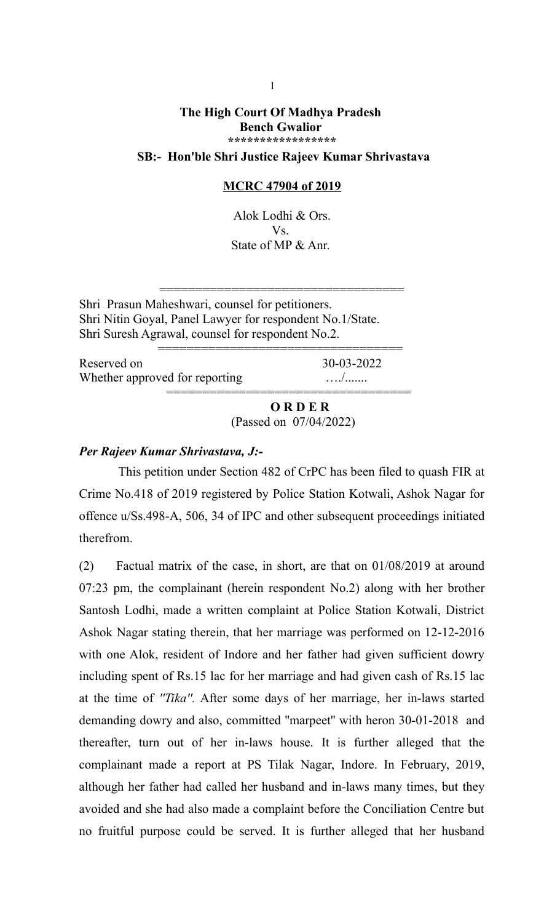## **The High Court Of Madhya Pradesh Bench Gwalior \*\*\*\*\*\*\*\*\*\*\*\*\*\*\*\*\***

## **SB:- Hon'ble Shri Justice Rajeev Kumar Shrivastava**

#### **MCRC 47904 of 2019**

Alok Lodhi & Ors. Vs. State of MP & Anr.

==================================

Shri Prasun Maheshwari, counsel for petitioners. Shri Nitin Goyal, Panel Lawyer for respondent No.1/State. Shri Suresh Agrawal, counsel for respondent No.2.

| Reserved on                    | 30-03-2022 |
|--------------------------------|------------|
| Whether approved for reporting |            |
|                                |            |

 **O R D E R** (Passed on 07/04/2022)

### *Per Rajeev Kumar Shrivastava, J:-*

 This petition under Section 482 of CrPC has been filed to quash FIR at Crime No.418 of 2019 registered by Police Station Kotwali, Ashok Nagar for offence u/Ss.498-A, 506, 34 of IPC and other subsequent proceedings initiated therefrom.

(2) Factual matrix of the case, in short, are that on 01/08/2019 at around 07:23 pm, the complainant (herein respondent No.2) along with her brother Santosh Lodhi, made a written complaint at Police Station Kotwali, District Ashok Nagar stating therein, that her marriage was performed on 12-12-2016 with one Alok, resident of Indore and her father had given sufficient dowry including spent of Rs.15 lac for her marriage and had given cash of Rs.15 lac at the time of *''Tika''.* After some days of her marriage, her in-laws started demanding dowry and also, committed ''marpeet'' with heron 30-01-2018 and thereafter, turn out of her in-laws house. It is further alleged that the complainant made a report at PS Tilak Nagar, Indore. In February, 2019, although her father had called her husband and in-laws many times, but they avoided and she had also made a complaint before the Conciliation Centre but no fruitful purpose could be served. It is further alleged that her husband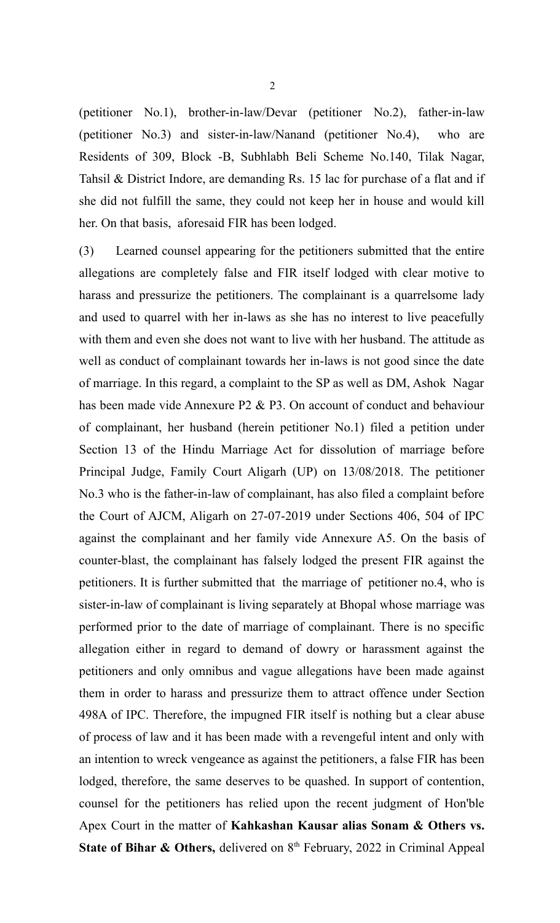(petitioner No.1), brother-in-law/Devar (petitioner No.2), father-in-law (petitioner No.3) and sister-in-law/Nanand (petitioner No.4), who are Residents of 309, Block -B, Subhlabh Beli Scheme No.140, Tilak Nagar, Tahsil & District Indore, are demanding Rs. 15 lac for purchase of a flat and if she did not fulfill the same, they could not keep her in house and would kill her. On that basis, aforesaid FIR has been lodged.

(3) Learned counsel appearing for the petitioners submitted that the entire allegations are completely false and FIR itself lodged with clear motive to harass and pressurize the petitioners. The complainant is a quarrelsome lady and used to quarrel with her in-laws as she has no interest to live peacefully with them and even she does not want to live with her husband. The attitude as well as conduct of complainant towards her in-laws is not good since the date of marriage. In this regard, a complaint to the SP as well as DM, Ashok Nagar has been made vide Annexure P2 & P3. On account of conduct and behaviour of complainant, her husband (herein petitioner No.1) filed a petition under Section 13 of the Hindu Marriage Act for dissolution of marriage before Principal Judge, Family Court Aligarh (UP) on 13/08/2018. The petitioner No.3 who is the father-in-law of complainant, has also filed a complaint before the Court of AJCM, Aligarh on 27-07-2019 under Sections 406, 504 of IPC against the complainant and her family vide Annexure A5. On the basis of counter-blast, the complainant has falsely lodged the present FIR against the petitioners. It is further submitted that the marriage of petitioner no.4, who is sister-in-law of complainant is living separately at Bhopal whose marriage was performed prior to the date of marriage of complainant. There is no specific allegation either in regard to demand of dowry or harassment against the petitioners and only omnibus and vague allegations have been made against them in order to harass and pressurize them to attract offence under Section 498A of IPC. Therefore, the impugned FIR itself is nothing but a clear abuse of process of law and it has been made with a revengeful intent and only with an intention to wreck vengeance as against the petitioners, a false FIR has been lodged, therefore, the same deserves to be quashed. In support of contention, counsel for the petitioners has relied upon the recent judgment of Hon'ble Apex Court in the matter of **Kahkashan Kausar alias Sonam & Others vs. State of Bihar & Others, delivered on 8<sup>th</sup> February, 2022 in Criminal Appeal**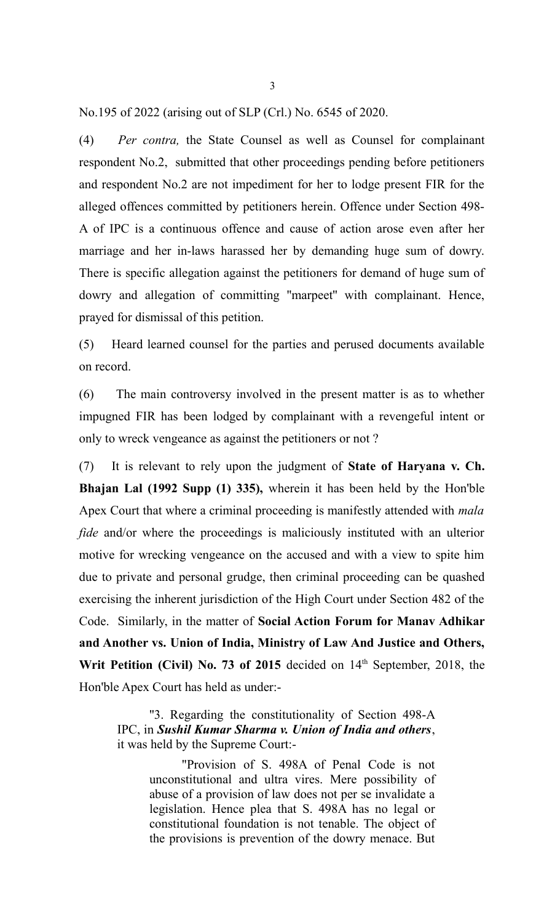No.195 of 2022 (arising out of SLP (Crl.) No. 6545 of 2020.

(4) *Per contra,* the State Counsel as well as Counsel for complainant respondent No.2, submitted that other proceedings pending before petitioners and respondent No.2 are not impediment for her to lodge present FIR for the alleged offences committed by petitioners herein. Offence under Section 498- A of IPC is a continuous offence and cause of action arose even after her marriage and her in-laws harassed her by demanding huge sum of dowry. There is specific allegation against the petitioners for demand of huge sum of dowry and allegation of committing ''marpeet'' with complainant. Hence, prayed for dismissal of this petition.

(5) Heard learned counsel for the parties and perused documents available on record.

(6) The main controversy involved in the present matter is as to whether impugned FIR has been lodged by complainant with a revengeful intent or only to wreck vengeance as against the petitioners or not ?

(7) It is relevant to rely upon the judgment of **State of Haryana v. Ch. Bhajan Lal (1992 Supp (1) 335),** wherein it has been held by the Hon'ble Apex Court that where a criminal proceeding is manifestly attended with *mala fide* and/or where the proceedings is maliciously instituted with an ulterior motive for wrecking vengeance on the accused and with a view to spite him due to private and personal grudge, then criminal proceeding can be quashed exercising the inherent jurisdiction of the High Court under Section 482 of the Code. Similarly, in the matter of **Social Action Forum for Manav Adhikar and Another vs. Union of India, Ministry of Law And Justice and Others,** Writ Petition (Civil) No. 73 of 2015 decided on 14<sup>th</sup> September, 2018, the Hon'ble Apex Court has held as under:-

''3. Regarding the constitutionality of Section 498-A IPC, in *Sushil Kumar Sharma v. Union of India and others*, it was held by the Supreme Court:-

> "Provision of S. 498A of Penal Code is not unconstitutional and ultra vires. Mere possibility of abuse of a provision of law does not per se invalidate a legislation. Hence plea that S. 498A has no legal or constitutional foundation is not tenable. The object of the provisions is prevention of the dowry menace. But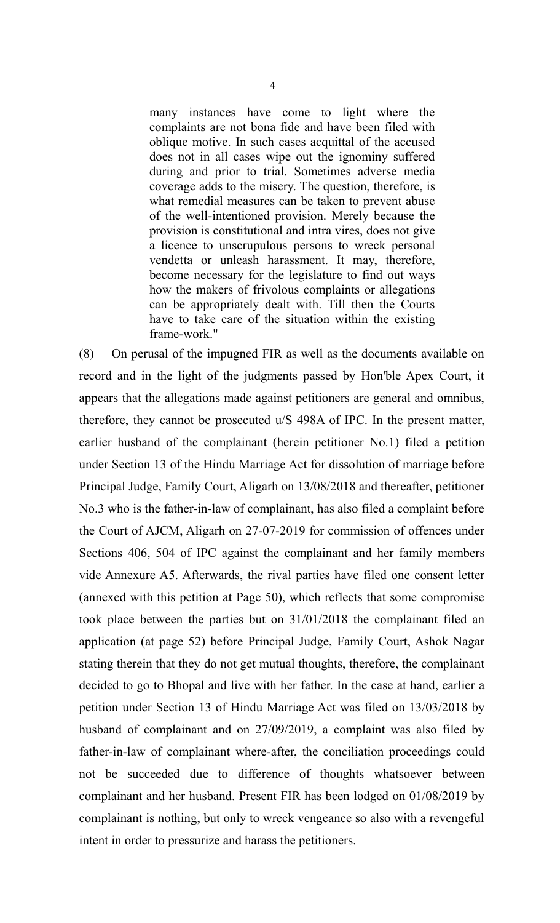many instances have come to light where the complaints are not bona fide and have been filed with oblique motive. In such cases acquittal of the accused does not in all cases wipe out the ignominy suffered during and prior to trial. Sometimes adverse media coverage adds to the misery. The question, therefore, is what remedial measures can be taken to prevent abuse of the well-intentioned provision. Merely because the provision is constitutional and intra vires, does not give a licence to unscrupulous persons to wreck personal vendetta or unleash harassment. It may, therefore, become necessary for the legislature to find out ways how the makers of frivolous complaints or allegations can be appropriately dealt with. Till then the Courts have to take care of the situation within the existing frame-work."

(8) On perusal of the impugned FIR as well as the documents available on record and in the light of the judgments passed by Hon'ble Apex Court, it appears that the allegations made against petitioners are general and omnibus, therefore, they cannot be prosecuted u/S 498A of IPC. In the present matter, earlier husband of the complainant (herein petitioner No.1) filed a petition under Section 13 of the Hindu Marriage Act for dissolution of marriage before Principal Judge, Family Court, Aligarh on 13/08/2018 and thereafter, petitioner No.3 who is the father-in-law of complainant, has also filed a complaint before the Court of AJCM, Aligarh on 27-07-2019 for commission of offences under Sections 406, 504 of IPC against the complainant and her family members vide Annexure A5. Afterwards, the rival parties have filed one consent letter (annexed with this petition at Page 50), which reflects that some compromise took place between the parties but on 31/01/2018 the complainant filed an application (at page 52) before Principal Judge, Family Court, Ashok Nagar stating therein that they do not get mutual thoughts, therefore, the complainant decided to go to Bhopal and live with her father. In the case at hand, earlier a petition under Section 13 of Hindu Marriage Act was filed on 13/03/2018 by husband of complainant and on 27/09/2019, a complaint was also filed by father-in-law of complainant where-after, the conciliation proceedings could not be succeeded due to difference of thoughts whatsoever between complainant and her husband. Present FIR has been lodged on 01/08/2019 by complainant is nothing, but only to wreck vengeance so also with a revengeful intent in order to pressurize and harass the petitioners.